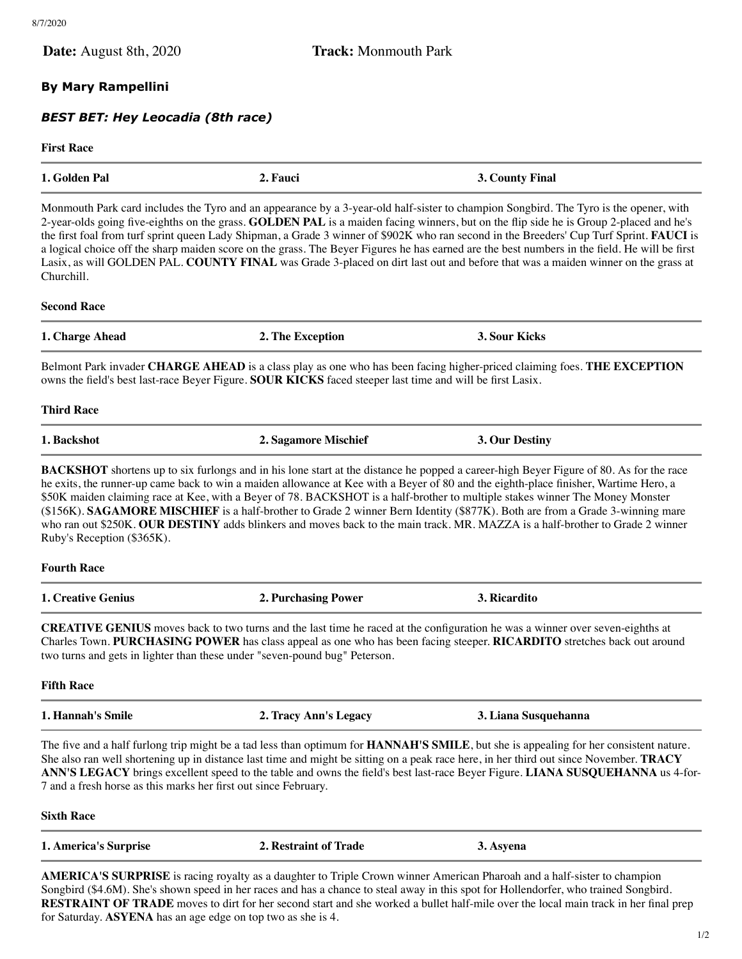| <b>Date:</b> August 8th, 2020                                                                             | <b>Track:</b> Monmouth Park                                                                               |                                                                                                                                                                                                                                                                                                                                                                                                                                                                                                                                                                                                                                                                                                                 |
|-----------------------------------------------------------------------------------------------------------|-----------------------------------------------------------------------------------------------------------|-----------------------------------------------------------------------------------------------------------------------------------------------------------------------------------------------------------------------------------------------------------------------------------------------------------------------------------------------------------------------------------------------------------------------------------------------------------------------------------------------------------------------------------------------------------------------------------------------------------------------------------------------------------------------------------------------------------------|
|                                                                                                           |                                                                                                           |                                                                                                                                                                                                                                                                                                                                                                                                                                                                                                                                                                                                                                                                                                                 |
| <b>By Mary Rampellini</b>                                                                                 |                                                                                                           |                                                                                                                                                                                                                                                                                                                                                                                                                                                                                                                                                                                                                                                                                                                 |
| <b>BEST BET: Hey Leocadia (8th race)</b>                                                                  |                                                                                                           |                                                                                                                                                                                                                                                                                                                                                                                                                                                                                                                                                                                                                                                                                                                 |
| <b>First Race</b>                                                                                         |                                                                                                           |                                                                                                                                                                                                                                                                                                                                                                                                                                                                                                                                                                                                                                                                                                                 |
| 1. Golden Pal                                                                                             | 2. Fauci                                                                                                  | 3. County Final                                                                                                                                                                                                                                                                                                                                                                                                                                                                                                                                                                                                                                                                                                 |
| Churchill.                                                                                                |                                                                                                           | Monmouth Park card includes the Tyro and an appearance by a 3-year-old half-sister to champion Songbird. The Tyro is the opener, with<br>2-year-olds going five-eighths on the grass. GOLDEN PAL is a maiden facing winners, but on the flip side he is Group 2-placed and he's<br>the first foal from turf sprint queen Lady Shipman, a Grade 3 winner of \$902K who ran second in the Breeders' Cup Turf Sprint. FAUCI is<br>a logical choice off the sharp maiden score on the grass. The Beyer Figures he has earned are the best numbers in the field. He will be first<br>Lasix, as will GOLDEN PAL. COUNTY FINAL was Grade 3-placed on dirt last out and before that was a maiden winner on the grass at |
| <b>Second Race</b>                                                                                        |                                                                                                           |                                                                                                                                                                                                                                                                                                                                                                                                                                                                                                                                                                                                                                                                                                                 |
| 1. Charge Ahead                                                                                           | 2. The Exception                                                                                          | 3. Sour Kicks                                                                                                                                                                                                                                                                                                                                                                                                                                                                                                                                                                                                                                                                                                   |
|                                                                                                           | owns the field's best last-race Beyer Figure. SOUR KICKS faced steeper last time and will be first Lasix. | Belmont Park invader CHARGE AHEAD is a class play as one who has been facing higher-priced claiming foes. THE EXCEPTION                                                                                                                                                                                                                                                                                                                                                                                                                                                                                                                                                                                         |
| <b>Third Race</b>                                                                                         |                                                                                                           |                                                                                                                                                                                                                                                                                                                                                                                                                                                                                                                                                                                                                                                                                                                 |
| 1. Backshot                                                                                               | 2. Sagamore Mischief                                                                                      | 3. Our Destiny                                                                                                                                                                                                                                                                                                                                                                                                                                                                                                                                                                                                                                                                                                  |
|                                                                                                           |                                                                                                           |                                                                                                                                                                                                                                                                                                                                                                                                                                                                                                                                                                                                                                                                                                                 |
| Ruby's Reception (\$365K).                                                                                |                                                                                                           | <b>BACKSHOT</b> shortens up to six furlongs and in his lone start at the distance he popped a career-high Beyer Figure of 80. As for the race<br>he exits, the runner-up came back to win a maiden allowance at Kee with a Beyer of 80 and the eighth-place finisher, Wartime Hero, a<br>\$50K maiden claiming race at Kee, with a Beyer of 78. BACKSHOT is a half-brother to multiple stakes winner The Money Monster<br>(\$156K). SAGAMORE MISCHIEF is a half-brother to Grade 2 winner Bern Identity (\$877K). Both are from a Grade 3-winning mare<br>who ran out \$250K. OUR DESTINY adds blinkers and moves back to the main track. MR. MAZZA is a half-brother to Grade 2 winner                         |
|                                                                                                           |                                                                                                           |                                                                                                                                                                                                                                                                                                                                                                                                                                                                                                                                                                                                                                                                                                                 |
|                                                                                                           | <b>2. Purchasing Power</b>                                                                                | 3. Ricardito                                                                                                                                                                                                                                                                                                                                                                                                                                                                                                                                                                                                                                                                                                    |
| <b>Fourth Race</b><br><b>1. Creative Genius</b>                                                           | two turns and gets in lighter than these under "seven-pound bug" Peterson.                                | <b>CREATIVE GENIUS</b> moves back to two turns and the last time he raced at the configuration he was a winner over seven-eighths at<br>Charles Town. PURCHASING POWER has class appeal as one who has been facing steeper. RICARDITO stretches back out around                                                                                                                                                                                                                                                                                                                                                                                                                                                 |
|                                                                                                           |                                                                                                           |                                                                                                                                                                                                                                                                                                                                                                                                                                                                                                                                                                                                                                                                                                                 |
|                                                                                                           | 2. Tracy Ann's Legacy                                                                                     | 3. Liana Susquehanna                                                                                                                                                                                                                                                                                                                                                                                                                                                                                                                                                                                                                                                                                            |
| <b>Fifth Race</b><br>1. Hannah's Smile<br>7 and a fresh horse as this marks her first out since February. |                                                                                                           | The five and a half furlong trip might be a tad less than optimum for <b>HANNAH'S SMILE</b> , but she is appealing for her consistent nature.<br>She also ran well shortening up in distance last time and might be sitting on a peak race here, in her third out since November. TRACY<br>ANN'S LEGACY brings excellent speed to the table and owns the field's best last-race Beyer Figure. LIANA SUSQUEHANNA us 4-for-                                                                                                                                                                                                                                                                                       |

| . America'<br>. www.marco<br>the contract of the contract of the contract of the contract of the contract of the contract of the contract of | Roetrouni<br>rade<br>оt |  |
|----------------------------------------------------------------------------------------------------------------------------------------------|-------------------------|--|
|                                                                                                                                              |                         |  |

**AMERICA'S SURPRISE** is racing royalty as a daughter to Triple Crown winner American Pharoah and a half-sister to champion Songbird (\$4.6M). She's shown speed in her races and has a chance to steal away in this spot for Hollendorfer, who trained Songbird. **RESTRAINT OF TRADE** moves to dirt for her second start and she worked a bullet half-mile over the local main track in her final prep for Saturday. **ASYENA** has an age edge on top two as she is 4.

÷,